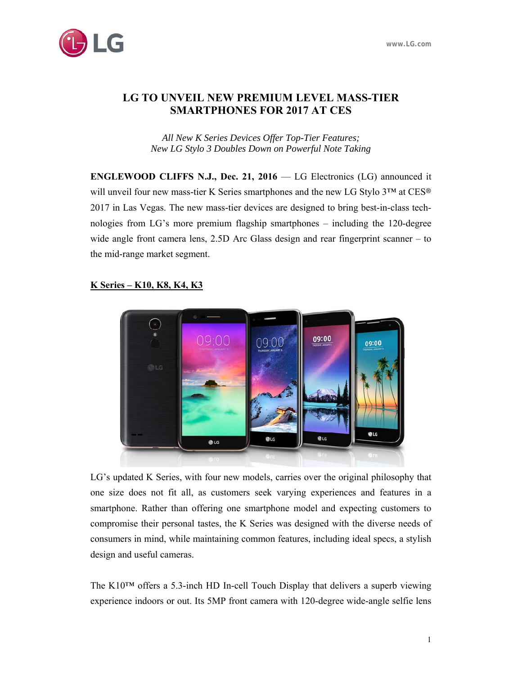

# **LG TO UNVEIL NEW PREMIUM LEVEL MASS-TIER SMARTPHONES FOR 2017 AT CES**

*All New K Series Devices Offer Top-Tier Features; New LG Stylo 3 Doubles Down on Powerful Note Taking* 

**ENGLEWOOD CLIFFS N.J., Dec. 21, 2016** — LG Electronics (LG) announced it will unveil four new mass-tier K Series smartphones and the new LG Stylo 3™ at CES® 2017 in Las Vegas. The new mass-tier devices are designed to bring best-in-class technologies from LG's more premium flagship smartphones – including the 120-degree wide angle front camera lens, 2.5D Arc Glass design and rear fingerprint scanner – to the mid-range market segment.

# 09:00 09:00 **OBLG C**LG **BLG OLG** @LG

## **K Series – K10, K8, K4, K3**

LG's updated K Series, with four new models, carries over the original philosophy that one size does not fit all, as customers seek varying experiences and features in a smartphone. Rather than offering one smartphone model and expecting customers to compromise their personal tastes, the K Series was designed with the diverse needs of consumers in mind, while maintaining common features, including ideal specs, a stylish design and useful cameras.

The K10™ offers a 5.3-inch HD In-cell Touch Display that delivers a superb viewing experience indoors or out. Its 5MP front camera with 120-degree wide-angle selfie lens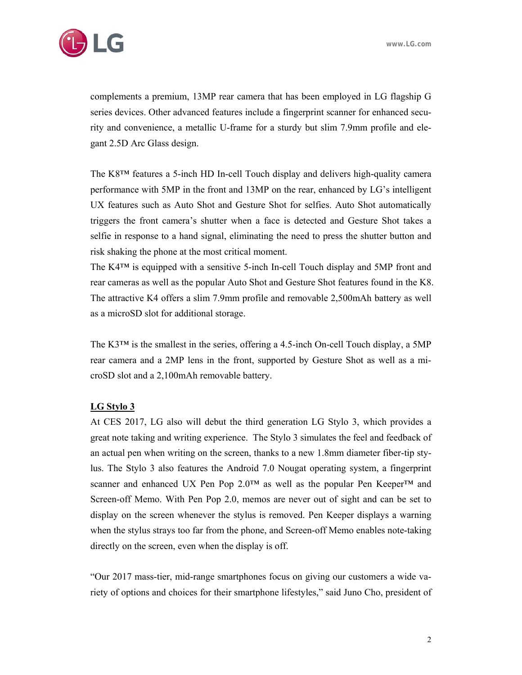

complements a premium, 13MP rear camera that has been employed in LG flagship G series devices. Other advanced features include a fingerprint scanner for enhanced security and convenience, a metallic U-frame for a sturdy but slim 7.9mm profile and elegant 2.5D Arc Glass design.

The K8™ features a 5-inch HD In-cell Touch display and delivers high-quality camera performance with 5MP in the front and 13MP on the rear, enhanced by LG's intelligent UX features such as Auto Shot and Gesture Shot for selfies. Auto Shot automatically triggers the front camera's shutter when a face is detected and Gesture Shot takes a selfie in response to a hand signal, eliminating the need to press the shutter button and risk shaking the phone at the most critical moment.

The K4™ is equipped with a sensitive 5-inch In-cell Touch display and 5MP front and rear cameras as well as the popular Auto Shot and Gesture Shot features found in the K8. The attractive K4 offers a slim 7.9mm profile and removable 2,500mAh battery as well as a microSD slot for additional storage.

The K3<sup>TM</sup> is the smallest in the series, offering a 4.5-inch On-cell Touch display, a 5MP rear camera and a 2MP lens in the front, supported by Gesture Shot as well as a microSD slot and a 2,100mAh removable battery.

#### **LG Stylo 3**

At CES 2017, LG also will debut the third generation LG Stylo 3, which provides a great note taking and writing experience. The Stylo 3 simulates the feel and feedback of an actual pen when writing on the screen, thanks to a new 1.8mm diameter fiber-tip stylus. The Stylo 3 also features the Android 7.0 Nougat operating system, a fingerprint scanner and enhanced UX Pen Pop 2.0™ as well as the popular Pen Keeper<sup>™</sup> and Screen-off Memo. With Pen Pop 2.0, memos are never out of sight and can be set to display on the screen whenever the stylus is removed. Pen Keeper displays a warning when the stylus strays too far from the phone, and Screen-off Memo enables note-taking directly on the screen, even when the display is off.

"Our 2017 mass-tier, mid-range smartphones focus on giving our customers a wide variety of options and choices for their smartphone lifestyles," said Juno Cho, president of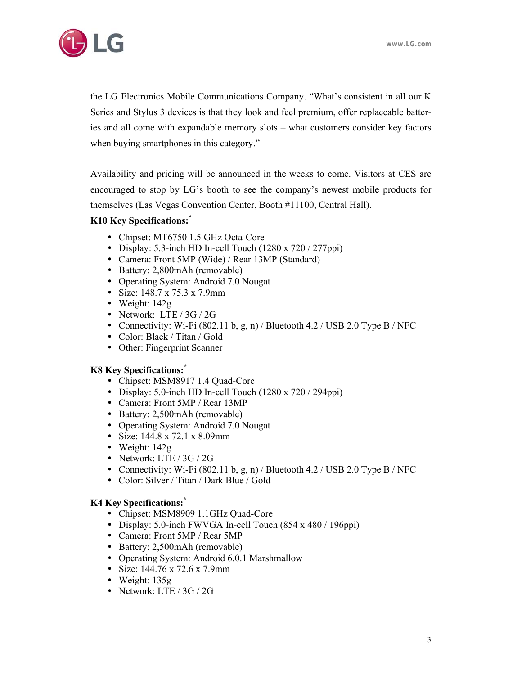

the LG Electronics Mobile Communications Company. "What's consistent in all our K Series and Stylus 3 devices is that they look and feel premium, offer replaceable batteries and all come with expandable memory slots – what customers consider key factors when buying smartphones in this category."

Availability and pricing will be announced in the weeks to come. Visitors at CES are encouraged to stop by LG's booth to see the company's newest mobile products for themselves (Las Vegas Convention Center, Booth #11100, Central Hall).

### **K10 Key Specifications:\***

- Chipset: MT6750 1.5 GHz Octa-Core
- $\bullet$  Display: 5.3-inch HD In-cell Touch (1280 x 720 / 277ppi)
- Camera: Front 5MP (Wide) / Rear 13MP (Standard)
- Battery: 2,800mAh (removable)
- Operating System: Android 7.0 Nougat
- Size: 148.7 x 75.3 x 7.9mm
- Weight: 142g
- Network: LTE / 3G / 2G
- Connectivity: Wi-Fi  $(802.11 \text{ b}, \text{g}, \text{n})$  / Bluetooth 4.2 / USB 2.0 Type B / NFC
- Color: Black / Titan / Gold
- Other: Fingerprint Scanner

#### **K8 Key Specifications:\***

- Chipset: MSM8917 1.4 Quad-Core
- Display: 5.0-inch HD In-cell Touch  $(1280 \times 720 / 294 \text{ppi})$
- Camera: Front 5MP / Rear 13MP
- Battery: 2,500mAh (removable)
- Operating System: Android 7.0 Nougat
- Size: 144.8 x 72.1 x 8.09mm
- Weight: 142g
- Network: LTE / 3G / 2G
- Connectivity: Wi-Fi  $(802.11 \text{ b}, \text{g}, \text{n})$  / Bluetooth 4.2 / USB 2.0 Type B / NFC
- Color: Silver / Titan / Dark Blue / Gold

#### **K4 Ke***y* **Specifications:\***

- Chipset: MSM8909 1.1GHz Quad-Core
- Display: 5.0-inch FWVGA In-cell Touch (854 x 480 / 196ppi)
- Camera: Front 5MP / Rear 5MP
- Battery: 2,500mAh (removable)
- Operating System: Android 6.0.1 Marshmallow
- Size: 144.76 x 72.6 x 7.9mm
- Weight: 135g
- Network: LTE / 3G / 2G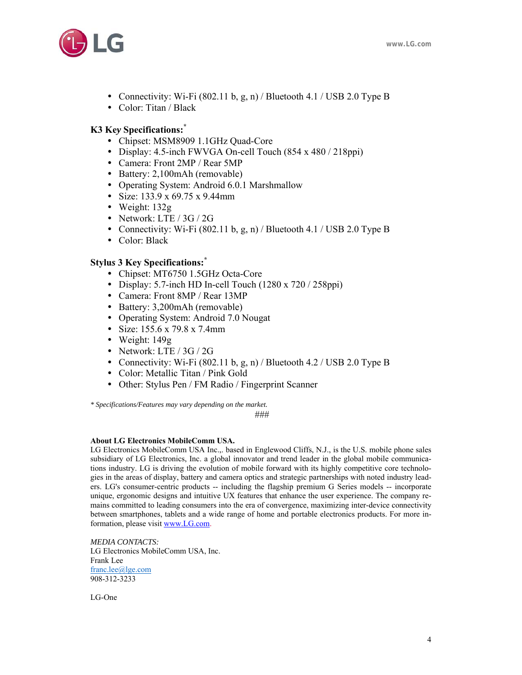

- Connectivity: Wi-Fi  $(802.11 \text{ b}, \text{g}, \text{n})$  / Bluetooth 4.1 / USB 2.0 Type B
- Color: Titan / Black

### **K3 Ke***y* **Specifications:\***

- Chipset: MSM8909 1.1GHz Quad-Core
- Display: 4.5-inch FWVGA On-cell Touch (854 x 480 / 218ppi)
- Camera: Front 2MP / Rear 5MP
- Battery: 2,100mAh (removable)
- Operating System: Android 6.0.1 Marshmallow
- Size: 133.9 x 69.75 x 9.44mm
- Weight: 132g
- Network: LTE / 3G / 2G
- Connectivity: Wi-Fi  $(802.11 b, g, n)$  / Bluetooth 4.1 / USB 2.0 Type B
- Color: Black

## **Stylu***s* **3 Key Specifications:\***

- Chipset: MT6750 1.5GHz Octa-Core
- Display: 5.7-inch HD In-cell Touch  $(1280 \times 720 / 258 \text{ppi})$
- Camera: Front 8MP / Rear 13MP
- Battery: 3,200mAh (removable)
- Operating System: Android 7.0 Nougat
- Size: 155.6 x 79.8 x 7.4mm
- Weight: 149g
- Network: LTE / 3G / 2G
- Connectivity: Wi-Fi  $(802.11 \text{ b}, \text{g}, \text{n})$  / Bluetooth 4.2 / USB 2.0 Type B
- Color: Metallic Titan / Pink Gold
- Other: Stylus Pen / FM Radio / Fingerprint Scanner

*\* Specifications/Features may vary depending on the market.* 

###

#### **About LG Electronics MobileComm USA.**

LG Electronics MobileComm USA Inc.,. based in Englewood Cliffs, N.J., is the U.S. mobile phone sales subsidiary of LG Electronics, Inc. a global innovator and trend leader in the global mobile communications industry. LG is driving the evolution of mobile forward with its highly competitive core technologies in the areas of display, battery and camera optics and strategic partnerships with noted industry leaders. LG's consumer-centric products -- including the flagship premium G Series models -- incorporate unique, ergonomic designs and intuitive UX features that enhance the user experience. The company remains committed to leading consumers into the era of convergence, maximizing inter-device connectivity between smartphones, tablets and a wide range of home and portable electronics products. For more information, please visit www.LG.com.

*MEDIA CONTACTS:*  LG Electronics MobileComm USA, Inc. Frank Lee franc.lee@lge.com 908-312-3233

LG-One